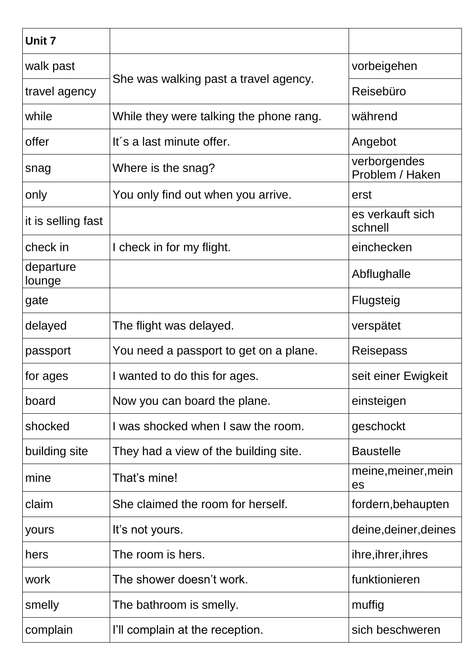| Unit 7              |                                         |                                 |
|---------------------|-----------------------------------------|---------------------------------|
| walk past           | She was walking past a travel agency.   | vorbeigehen                     |
| travel agency       |                                         | Reisebüro                       |
| while               | While they were talking the phone rang. | während                         |
| offer               | It's a last minute offer.               | Angebot                         |
| snag                | Where is the snag?                      | verborgendes<br>Problem / Haken |
| only                | You only find out when you arrive.      | erst                            |
| it is selling fast  |                                         | es verkauft sich<br>schnell     |
| check in            | I check in for my flight.               | einchecken                      |
| departure<br>lounge |                                         | Abflughalle                     |
| gate                |                                         | Flugsteig                       |
| delayed             | The flight was delayed.                 | verspätet                       |
| passport            | You need a passport to get on a plane.  | Reisepass                       |
| for ages            | I wanted to do this for ages.           | seit einer Ewigkeit             |
| board               | Now you can board the plane.            | einsteigen                      |
| shocked             | I was shocked when I saw the room.      | geschockt                       |
| building site       | They had a view of the building site.   | <b>Baustelle</b>                |
| mine                | That's mine!                            | meine, meiner, mein<br>es       |
| claim               | She claimed the room for herself.       | fordern, behaupten              |
| yours               | It's not yours.                         | deine, deiner, deines           |
| hers                | The room is hers.                       | ihre, ihrer, ihres              |
| work                | The shower doesn't work.                | funktionieren                   |
| smelly              | The bathroom is smelly.                 | muffig                          |
| complain            | I'll complain at the reception.         | sich beschweren                 |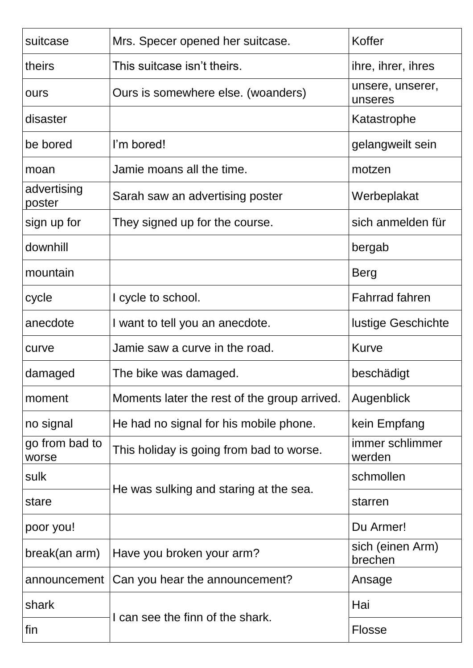| suitcase                | Mrs. Specer opened her suitcase.             | Koffer                      |
|-------------------------|----------------------------------------------|-----------------------------|
| theirs                  | This suitcase isn't theirs.                  | ihre, ihrer, ihres          |
| ours                    | Ours is somewhere else. (woanders)           | unsere, unserer,<br>unseres |
| disaster                |                                              | Katastrophe                 |
| be bored                | I'm bored!                                   | gelangweilt sein            |
| moan                    | Jamie moans all the time.                    | motzen                      |
| advertising<br>poster   | Sarah saw an advertising poster              | Werbeplakat                 |
| sign up for             | They signed up for the course.               | sich anmelden für           |
| downhill                |                                              | bergab                      |
| mountain                |                                              | <b>Berg</b>                 |
| cycle                   | I cycle to school.                           | <b>Fahrrad fahren</b>       |
| anecdote                | I want to tell you an anecdote.              | <b>lustige Geschichte</b>   |
| curve                   | Jamie saw a curve in the road.               | <b>Kurve</b>                |
| damaged                 | The bike was damaged.                        | beschädigt                  |
| moment                  | Moments later the rest of the group arrived. | Augenblick                  |
| no signal               | He had no signal for his mobile phone.       | kein Empfang                |
| go from bad to<br>worse | This holiday is going from bad to worse.     | immer schlimmer<br>werden   |
| sulk                    | He was sulking and staring at the sea.       | schmollen                   |
| stare                   |                                              | starren                     |
| poor you!               |                                              | Du Armer!                   |
| break(an arm)           | Have you broken your arm?                    | sich (einen Arm)<br>brechen |
| announcement            | Can you hear the announcement?               | Ansage                      |
| shark                   | I can see the finn of the shark.             | Hai                         |
| fin                     |                                              | <b>Flosse</b>               |